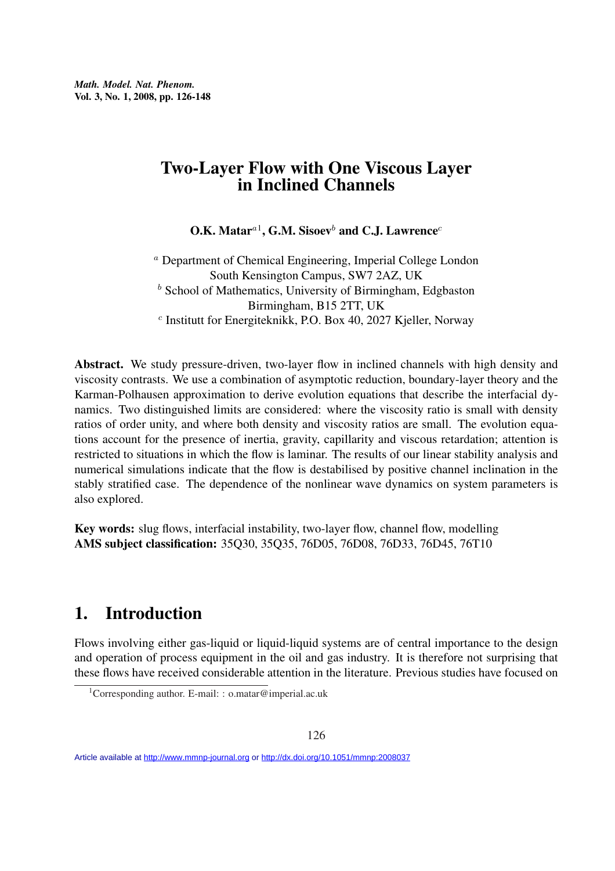# Two-Layer Flow with One Viscous Layer in Inclined Channels

O.K. Matar ${}^{a1}$ , G.M. Sisoev ${}^{b}$  and C.J. Lawrence ${}^{c}$ 

<sup>a</sup> Department of Chemical Engineering, Imperial College London South Kensington Campus, SW7 2AZ, UK  $<sup>b</sup>$  School of Mathematics, University of Birmingham, Edgbaston</sup> Birmingham, B15 2TT, UK c Institutt for Energiteknikk, P.O. Box 40, 2027 Kjeller, Norway

Abstract. We study pressure-driven, two-layer flow in inclined channels with high density and viscosity contrasts. We use a combination of asymptotic reduction, boundary-layer theory and the Karman-Polhausen approximation to derive evolution equations that describe the interfacial dynamics. Two distinguished limits are considered: where the viscosity ratio is small with density ratios of order unity, and where both density and viscosity ratios are small. The evolution equations account for the presence of inertia, gravity, capillarity and viscous retardation; attention is restricted to situations in which the flow is laminar. The results of our linear stability analysis and numerical simulations indicate that the flow is destabilised by positive channel inclination in the stably stratified case. The dependence of the nonlinear wave dynamics on system parameters is also explored.

Key words: slug flows, interfacial instability, two-layer flow, channel flow, modelling AMS subject classification: 35Q30, 35Q35, 76D05, 76D08, 76D33, 76D45, 76T10

# 1. Introduction

Flows involving either gas-liquid or liquid-liquid systems are of central importance to the design and operation of process equipment in the oil and gas industry. It is therefore not surprising that these flows have received considerable attention in the literature. Previous studies have focused on

<sup>&</sup>lt;sup>1</sup>Corresponding author. E-mail: : o.matar@imperial.ac.uk

Article available at<http://www.mmnp-journal.org> or <http://dx.doi.org/10.1051/mmnp:2008037>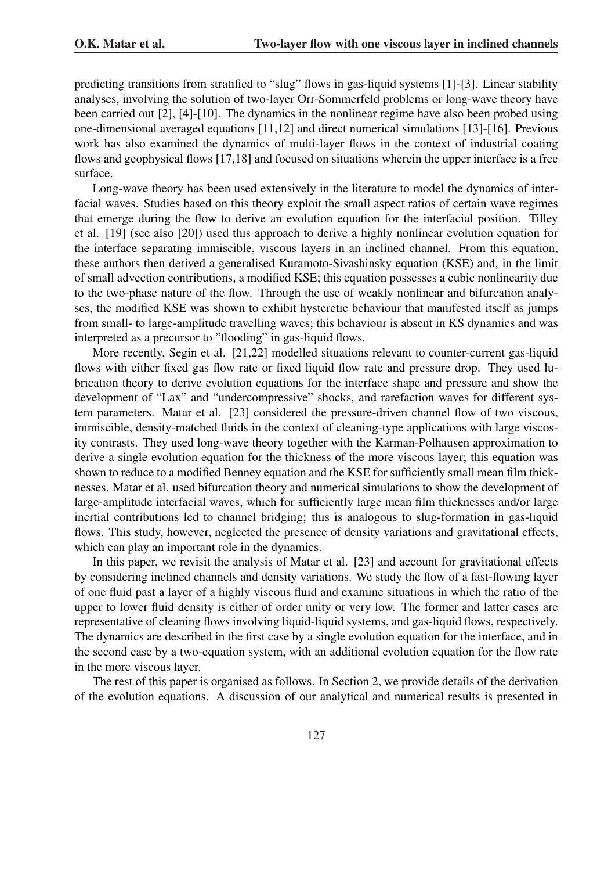predicting transitions from stratified to "slug" flows in gas-liquid systems [1]-[3]. Linear stability analyses, involving the solution of two-layer Orr-Sommerfeld problems or long-wave theory have been carried out [2], [4]-[10]. The dynamics in the nonlinear regime have also been probed using one-dimensional averaged equations [11,12] and direct numerical simulations [13]-[16]. Previous work has also examined the dynamics of multi-layer flows in the context of industrial coating flows and geophysical flows [17,18] and focused on situations wherein the upper interface is a free surface.

Long-wave theory has been used extensively in the literature to model the dynamics of interfacial waves. Studies based on this theory exploit the small aspect ratios of certain wave regimes that emerge during the flow to derive an evolution equation for the interfacial position. Tilley et al. [19] (see also [20]) used this approach to derive a highly nonlinear evolution equation for the interface separating immiscible, viscous layers in an inclined channel. From this equation, these authors then derived a generalised Kuramoto-Sivashinsky equation (KSE) and, in the limit of small advection contributions, a modified KSE; this equation possesses a cubic nonlinearity due to the two-phase nature of the flow. Through the use of weakly nonlinear and bifurcation analyses, the modified KSE was shown to exhibit hysteretic behaviour that manifested itself as jumps from small- to large-amplitude travelling waves; this behaviour is absent in KS dynamics and was interpreted as a precursor to "flooding" in gas-liquid flows.

More recently, Segin et al. [21,22] modelled situations relevant to counter-current gas-liquid flows with either fixed gas flow rate or fixed liquid flow rate and pressure drop. They used lubrication theory to derive evolution equations for the interface shape and pressure and show the development of "Lax" and "undercompressive" shocks, and rarefaction waves for different system parameters. Matar et al. [23] considered the pressure-driven channel flow of two viscous, immiscible, density-matched fluids in the context of cleaning-type applications with large viscosity contrasts. They used long-wave theory together with the Karman-Polhausen approximation to derive a single evolution equation for the thickness of the more viscous layer; this equation was shown to reduce to a modified Benney equation and the KSE for sufficiently small mean film thicknesses. Matar et al. used bifurcation theory and numerical simulations to show the development of large-amplitude interfacial waves, which for sufficiently large mean film thicknesses and/or large inertial contributions led to channel bridging; this is analogous to slug-formation in gas-liquid flows. This study, however, neglected the presence of density variations and gravitational effects, which can play an important role in the dynamics.

In this paper, we revisit the analysis of Matar et al. [23] and account for gravitational effects by considering inclined channels and density variations. We study the flow of a fast-flowing layer of one fluid past a layer of a highly viscous fluid and examine situations in which the ratio of the upper to lower fluid density is either of order unity or very low. The former and latter cases are representative of cleaning flows involving liquid-liquid systems, and gas-liquid flows, respectively. The dynamics are described in the first case by a single evolution equation for the interface, and in the second case by a two-equation system, with an additional evolution equation for the flow rate in the more viscous layer.

The rest of this paper is organised as follows. In Section 2, we provide details of the derivation of the evolution equations. A discussion of our analytical and numerical results is presented in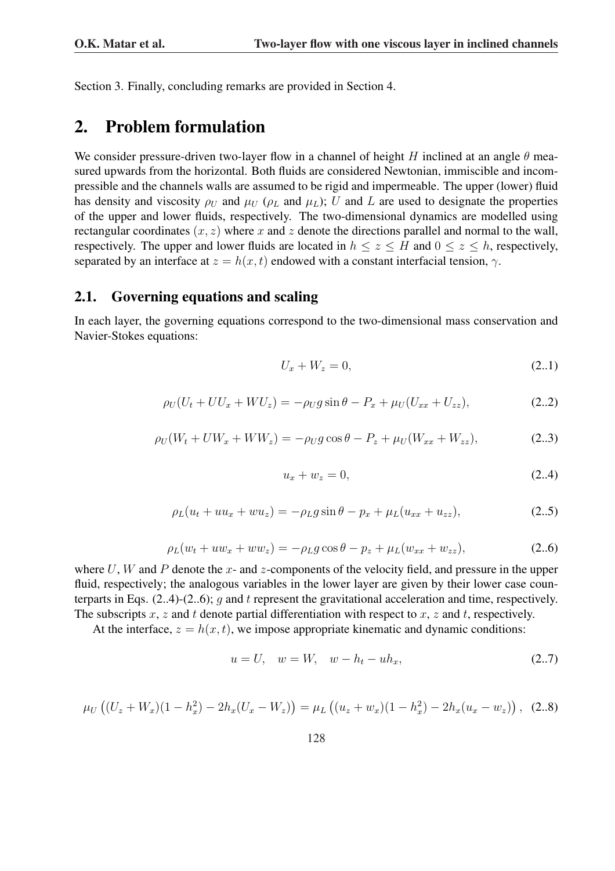Section 3. Finally, concluding remarks are provided in Section 4.

### 2. Problem formulation

We consider pressure-driven two-layer flow in a channel of height H inclined at an angle  $\theta$  measured upwards from the horizontal. Both fluids are considered Newtonian, immiscible and incompressible and the channels walls are assumed to be rigid and impermeable. The upper (lower) fluid has density and viscosity  $\rho_U$  and  $\mu_U$  ( $\rho_L$  and  $\mu_L$ ); U and L are used to designate the properties of the upper and lower fluids, respectively. The two-dimensional dynamics are modelled using rectangular coordinates  $(x, z)$  where x and z denote the directions parallel and normal to the wall, respectively. The upper and lower fluids are located in  $h \le z \le H$  and  $0 \le z \le h$ , respectively, separated by an interface at  $z = h(x, t)$  endowed with a constant interfacial tension,  $\gamma$ .

#### 2.1. Governing equations and scaling

In each layer, the governing equations correspond to the two-dimensional mass conservation and Navier-Stokes equations:

$$
U_x + W_z = 0, \t\t(2.1)
$$

$$
\rho_U(U_t + U U_x + W U_z) = -\rho_U g \sin \theta - P_x + \mu_U(U_{xx} + U_{zz}), \tag{2.2}
$$

$$
\rho_U(W_t + UW_x + WW_z) = -\rho_U g \cos \theta - P_z + \mu_U(W_{xx} + W_{zz}), \tag{2.3}
$$

$$
u_x + w_z = 0,\t(2.4)
$$

$$
\rho_L(u_t + uu_x + wu_z) = -\rho_L g \sin \theta - p_x + \mu_L (u_{xx} + u_{zz}), \tag{2.5}
$$

$$
\rho_L(w_t + uw_x + ww_z) = -\rho_L g \cos \theta - p_z + \mu_L(w_{xx} + w_{zz}), \qquad (2..6)
$$

where U, W and P denote the x- and z-components of the velocity field, and pressure in the upper fluid, respectively; the analogous variables in the lower layer are given by their lower case counterparts in Eqs.  $(2..4)-(2..6)$ ; g and t represent the gravitational acceleration and time, respectively. The subscripts  $x, z$  and t denote partial differentiation with respect to  $x, z$  and t, respectively.

At the interface,  $z = h(x, t)$ , we impose appropriate kinematic and dynamic conditions:

$$
u = U, \quad w = W, \quad w - h_t - u h_x,
$$
\n(2.7)

$$
\mu_U ((U_z + W_x)(1 - h_x^2) - 2h_x(U_x - W_z)) = \mu_L ((u_z + w_x)(1 - h_x^2) - 2h_x(u_x - w_z)),
$$
 (2.8)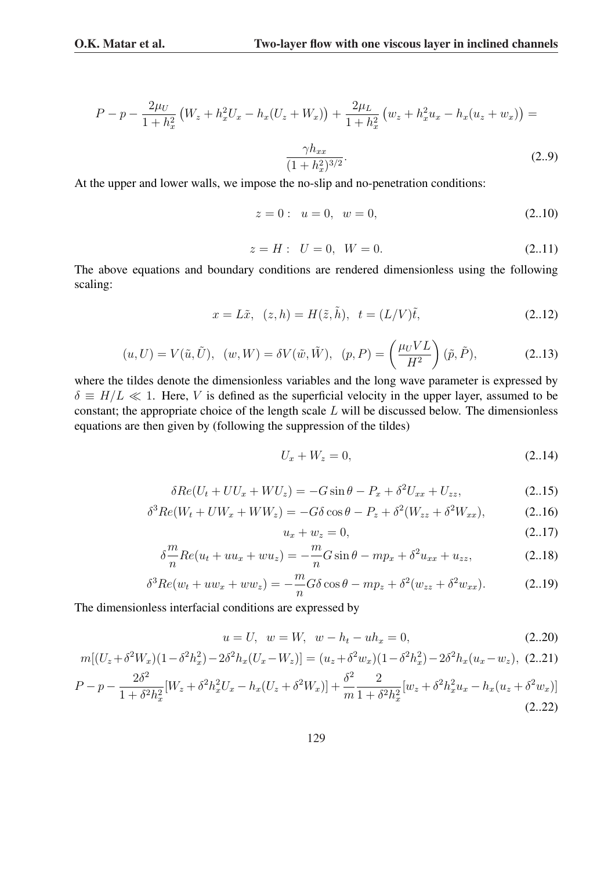$$
P - p - \frac{2\mu_U}{1 + h_x^2} \left( W_z + h_x^2 U_x - h_x (U_z + W_x) \right) + \frac{2\mu_L}{1 + h_x^2} \left( w_z + h_x^2 u_x - h_x (u_z + w_x) \right) =
$$
  

$$
\frac{\gamma h_{xx}}{(1 + h_x^2)^{3/2}}.
$$
 (2.9)

 $(1+h_x^2)^{3/2}$ 

At the upper and lower walls, we impose the no-slip and no-penetration conditions:

$$
z = 0: u = 0, w = 0,
$$
\n(2.10)

$$
z = H: \quad U = 0, \quad W = 0. \tag{2.11}
$$

The above equations and boundary conditions are rendered dimensionless using the following scaling:

$$
x = L\tilde{x}, (z, h) = H(\tilde{z}, \tilde{h}), t = (L/V)\tilde{t},
$$
 (2.12)

$$
(u, U) = V(\tilde{u}, \tilde{U}), \quad (w, W) = \delta V(\tilde{w}, \tilde{W}), \quad (p, P) = \left(\frac{\mu_U V L}{H^2}\right)(\tilde{p}, \tilde{P}), \tag{2.13}
$$

where the tildes denote the dimensionless variables and the long wave parameter is expressed by  $\delta \equiv H/L \ll 1$ . Here, V is defined as the superficial velocity in the upper layer, assumed to be constant; the appropriate choice of the length scale L will be discussed below. The dimensionless equations are then given by (following the suppression of the tildes)

$$
U_x + W_z = 0,\t\t(2..14)
$$

$$
\delta Re(U_t + U U_x + W U_z) = -G \sin \theta - P_x + \delta^2 U_{xx} + U_{zz},
$$
\n(2.15)

$$
\delta^3 Re(W_t + UW_x + WW_z) = -G\delta \cos \theta - P_z + \delta^2 (W_{zz} + \delta^2 W_{xx}), \tag{2.16}
$$

$$
u_x + w_z = 0,\t(2..17)
$$

$$
\delta \frac{m}{n} Re(u_t + uu_x + w u_z) = -\frac{m}{n} G \sin \theta - m p_x + \delta^2 u_{xx} + u_{zz},
$$
\n(2.18)

$$
\delta^3 Re(w_t + uw_x + ww_z) = -\frac{m}{n} G \delta \cos \theta - mp_z + \delta^2 (w_{zz} + \delta^2 w_{xx}). \tag{2.19}
$$

The dimensionless interfacial conditions are expressed by

$$
u = U, \ \ w = W, \ \ w - h_t - uh_x = 0,
$$
\n<sup>(2..20)</sup>

$$
m[(U_z + \delta^2 W_x)(1 - \delta^2 h_x^2) - 2\delta^2 h_x (U_x - W_z)] = (u_z + \delta^2 w_x)(1 - \delta^2 h_x^2) - 2\delta^2 h_x (u_x - w_z), (2..21)
$$
  
\n
$$
P - p - \frac{2\delta^2}{1 + \delta^2 h_x^2} [W_z + \delta^2 h_x^2 U_x - h_x (U_z + \delta^2 W_x)] + \frac{\delta^2}{m} \frac{2}{1 + \delta^2 h_x^2} [w_z + \delta^2 h_x^2 u_x - h_x (u_z + \delta^2 w_x)]
$$
\n(2..22)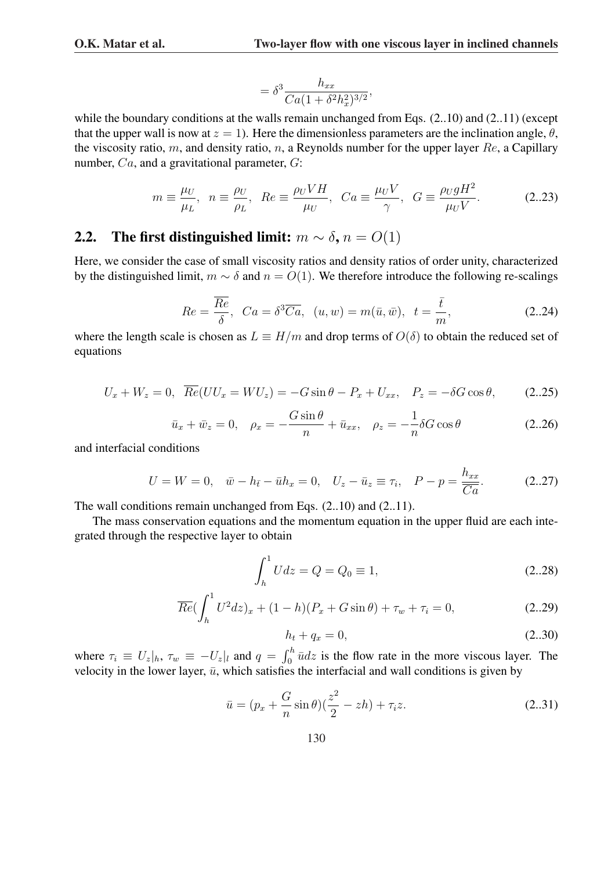$$
=\delta^3\frac{h_{xx}}{Ca(1+\delta^2h_x^2)^{3/2}},
$$

while the boundary conditions at the walls remain unchanged from Eqs.  $(2..10)$  and  $(2..11)$  (except that the upper wall is now at  $z = 1$ ). Here the dimensionless parameters are the inclination angle,  $\theta$ , the viscosity ratio, m, and density ratio, n, a Reynolds number for the upper layer  $Re$ , a Capillary number, Ca, and a gravitational parameter, G:

$$
m \equiv \frac{\mu_U}{\mu_L}, \ \ n \equiv \frac{\rho_U}{\rho_L}, \ \ Re \equiv \frac{\rho_U V H}{\mu_U}, \ \ Ca \equiv \frac{\mu_U V}{\gamma}, \ \ G \equiv \frac{\rho_U g H^2}{\mu_U V}.
$$
 (2.23)

### 2.2. The first distinguished limit:  $m \sim \delta$ ,  $n = O(1)$

Here, we consider the case of small viscosity ratios and density ratios of order unity, characterized by the distinguished limit,  $m \sim \delta$  and  $n = O(1)$ . We therefore introduce the following re-scalings

$$
Re = \frac{\overline{Re}}{\delta}, \quad Ca = \delta^3 \overline{Ca}, \quad (u, w) = m(\bar{u}, \bar{w}), \quad t = \frac{\bar{t}}{m}, \tag{2.24}
$$

where the length scale is chosen as  $L \equiv H/m$  and drop terms of  $O(\delta)$  to obtain the reduced set of equations

$$
U_x + W_z = 0, \quad \overline{Re}(UU_x = WU_z) = -G\sin\theta - P_x + U_{xx}, \quad P_z = -\delta G\cos\theta,\tag{2.25}
$$

$$
\bar{u}_x + \bar{w}_z = 0, \quad \rho_x = -\frac{G \sin \theta}{n} + \bar{u}_{xx}, \quad \rho_z = -\frac{1}{n} \delta G \cos \theta \tag{2.26}
$$

and interfacial conditions

$$
U = W = 0, \quad \bar{w} - h_{\bar{t}} - \bar{u}h_x = 0, \quad U_z - \bar{u}_z \equiv \tau_i, \quad P - p = \frac{h_{xx}}{\bar{C}a}.
$$
 (2.27)

The wall conditions remain unchanged from Eqs. (2..10) and (2..11).

The mass conservation equations and the momentum equation in the upper fluid are each integrated through the respective layer to obtain

$$
\int_{h}^{1} U dz = Q = Q_0 \equiv 1,
$$
\n(2..28)

$$
\overline{Re} \left( \int_h^1 U^2 dz \right)_x + (1 - h)(P_x + G \sin \theta) + \tau_w + \tau_i = 0, \tag{2.29}
$$

$$
h_t + q_x = 0,\t\t(2..30)
$$

where  $\tau_i \equiv U_z|_h$ ,  $\tau_w \equiv -U_z|_l$  and  $q =$  $h$  $\overline{u}_0^n$   $\overline{u}$  dz is the flow rate in the more viscous layer. The velocity in the lower layer,  $\bar{u}$ , which satisfies the interfacial and wall conditions is given by

$$
\bar{u} = (p_x + \frac{G}{n}\sin\theta)(\frac{z^2}{2} - zh) + \tau_i z.
$$
 (2..31)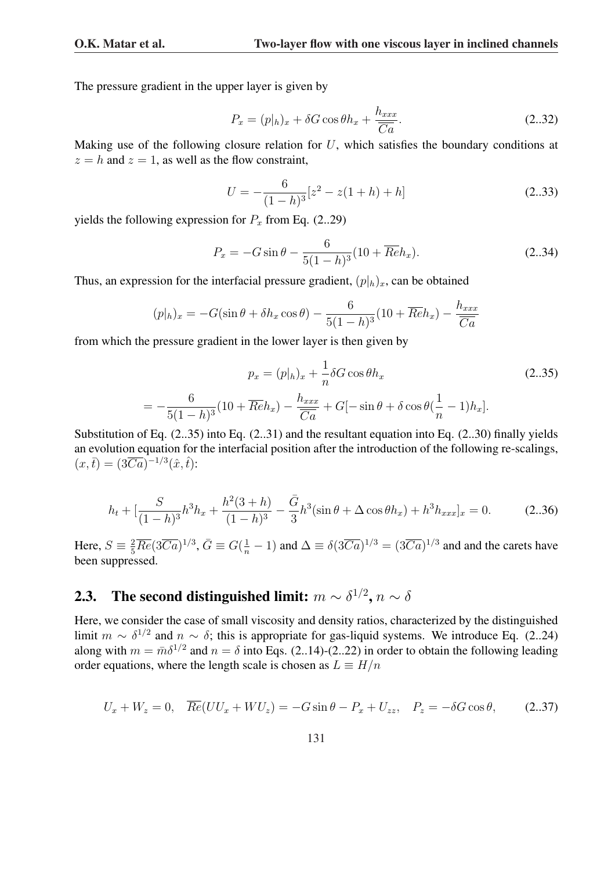The pressure gradient in the upper layer is given by

$$
P_x = (p|h)_x + \delta G \cos \theta h_x + \frac{h_{xxx}}{\overline{Ca}}.\tag{2.32}
$$

Making use of the following closure relation for  $U$ , which satisfies the boundary conditions at  $z = h$  and  $z = 1$ , as well as the flow constraint,

$$
U = -\frac{6}{(1-h)^3} [z^2 - z(1+h) + h]
$$
 (2..33)

yields the following expression for  $P_x$  from Eq. (2..29)

$$
P_x = -G\sin\theta - \frac{6}{5(1-h)^3}(10 + \overline{Re}h_x).
$$
 (2..34)

Thus, an expression for the interfacial pressure gradient,  $(p|_h)_x$ , can be obtained

$$
(p|h)_x = -G(\sin\theta + \delta h_x \cos\theta) - \frac{6}{5(1-h)^3}(10 + \overline{Re}h_x) - \frac{h_{xxx}}{\overline{Ca}}
$$

from which the pressure gradient in the lower layer is then given by

$$
p_x = (p|h)_x + \frac{1}{n}\delta G \cos\theta h_x
$$
  

$$
= -\frac{6}{5(1-h)^3}(10 + \overline{Re}h_x) - \frac{h_{xxx}}{\overline{Ca}} + G[-\sin\theta + \delta\cos\theta(\frac{1}{n} - 1)h_x].
$$
 (2..35)

Substitution of Eq. (2..35) into Eq. (2..31) and the resultant equation into Eq. (2..30) finally yields an evolution equation for the interfacial position after the introduction of the following re-scalings,  $(x,\bar{t}) = (3\overline{Ca})^{-1/3}(\hat{x},\hat{t})$ :

$$
h_t + \left[\frac{S}{(1-h)^3}h^3h_x + \frac{h^2(3+h)}{(1-h)^3} - \frac{\bar{G}}{3}h^3(\sin\theta + \Delta\cos\theta h_x) + h^3h_{xxx}\right]_x = 0.
$$
 (2..36)

Here,  $S \equiv \frac{2}{5} \overline{Re}(3\overline{Ca})^{1/3}$ ,  $\bar{G} \equiv G(\frac{1}{n} - 1)$  and  $\Delta \equiv \delta(3\overline{Ca})^{1/3} = (3\overline{Ca})^{1/3}$  and and the carets have been suppressed.

### 2.3. The second distinguished limit:  $m \sim \delta^{1/2}$ ,  $n \sim \delta$

Here, we consider the case of small viscosity and density ratios, characterized by the distinguished limit  $m \sim \delta^{1/2}$  and  $n \sim \delta$ ; this is appropriate for gas-liquid systems. We introduce Eq. (2..24) along with  $m = \bar{m}\delta^{1/2}$  and  $n = \delta$  into Eqs. (2..14)-(2..22) in order to obtain the following leading order equations, where the length scale is chosen as  $L = H/n$ 

$$
U_x + W_z = 0, \quad \overline{Re}(UU_x + WU_z) = -G\sin\theta - P_x + U_{zz}, \quad P_z = -\delta G\cos\theta,\tag{2.37}
$$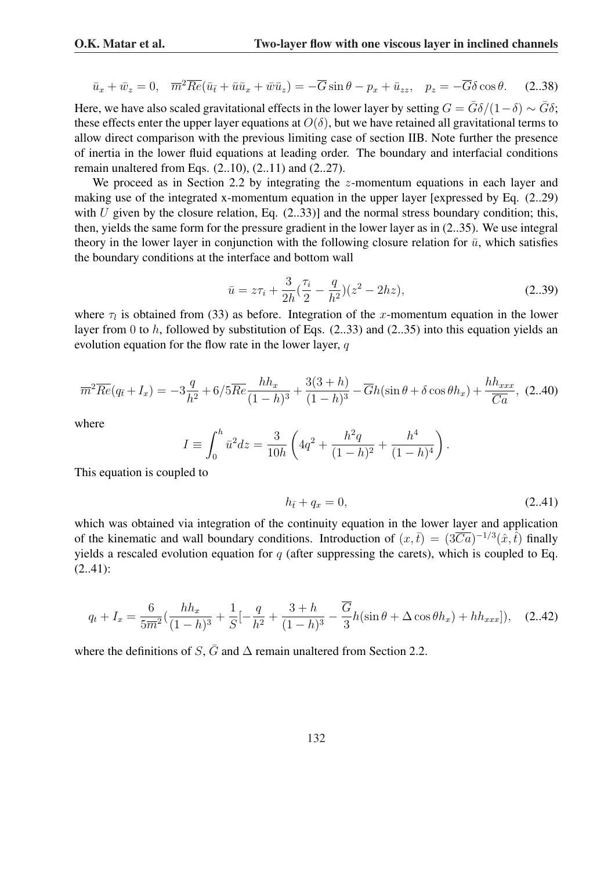$$
\bar{u}_x + \bar{w}_z = 0, \quad \overline{m}^2 \overline{Re} (\bar{u}_{\bar{t}} + \bar{u}\bar{u}_x + \bar{w}\bar{u}_z) = -\overline{G} \sin \theta - p_x + \bar{u}_{zz}, \quad p_z = -\overline{G} \delta \cos \theta. \tag{2.38}
$$

Here, we have also scaled gravitational effects in the lower layer by setting  $G = \bar{G}\delta/(1-\delta) \sim \bar{G}\delta$ ; these effects enter the upper layer equations at  $O(\delta)$ , but we have retained all gravitational terms to allow direct comparison with the previous limiting case of section IIB. Note further the presence of inertia in the lower fluid equations at leading order. The boundary and interfacial conditions remain unaltered from Eqs. (2..10), (2..11) and (2..27).

We proceed as in Section 2.2 by integrating the  $z$ -momentum equations in each layer and making use of the integrated x-momentum equation in the upper layer [expressed by Eq. (2..29) with U given by the closure relation, Eq.  $(2..33)$ ] and the normal stress boundary condition; this, then, yields the same form for the pressure gradient in the lower layer as in (2..35). We use integral theory in the lower layer in conjunction with the following closure relation for  $\bar{u}$ , which satisfies the boundary conditions at the interface and bottom wall

$$
\bar{u} = z\tau_i + \frac{3}{2h}(\frac{\tau_i}{2} - \frac{q}{h^2})(z^2 - 2hz),\tag{2..39}
$$

where  $\tau_l$  is obtained from (33) as before. Integration of the x-momentum equation in the lower layer from 0 to h, followed by substitution of Eqs. (2..33) and (2..35) into this equation yields an evolution equation for the flow rate in the lower layer,  $q$ 

$$
\overline{m}^2 \overline{Re}(q_{\overline{t}} + I_x) = -3\frac{q}{h^2} + 6/5\overline{Re}\frac{hh_x}{(1-h)^3} + \frac{3(3+h)}{(1-h)^3} - \overline{G}h(\sin\theta + \delta\cos\theta h_x) + \frac{hh_{xxx}}{\overline{Ca}}, (2.40)
$$

where

$$
I \equiv \int_0^h \bar{u}^2 dz = \frac{3}{10h} \left( 4q^2 + \frac{h^2q}{(1-h)^2} + \frac{h^4}{(1-h)^4} \right).
$$

This equation is coupled to

$$
h_{\bar{t}} + q_x = 0,\t\t(2..41)
$$

which was obtained via integration of the continuity equation in the lower layer and application of the kinematic and wall boundary conditions. Introduction of  $(x,\bar{t}) = (3\overline{Ca})^{-1/3}(\hat{x},\hat{t})$  finally yields a rescaled evolution equation for  $q$  (after suppressing the carets), which is coupled to Eq. (2..41):

$$
q_t + I_x = \frac{6}{5\overline{m}^2} \left( \frac{hh_x}{(1-h)^3} + \frac{1}{S} \left[ -\frac{q}{h^2} + \frac{3+h}{(1-h)^3} - \frac{\overline{G}}{3} h(\sin\theta + \Delta\cos\theta h_x) + hh_{xxx} \right] \right), \quad (2.42)
$$

where the definitions of S,  $\overline{G}$  and  $\Delta$  remain unaltered from Section 2.2.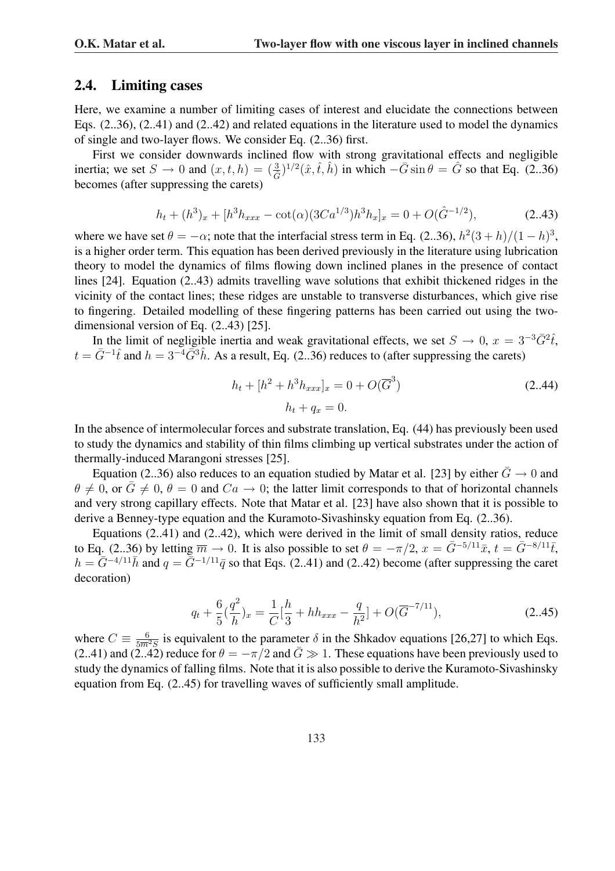#### 2.4. Limiting cases

Here, we examine a number of limiting cases of interest and elucidate the connections between Eqs. (2..36), (2..41) and (2..42) and related equations in the literature used to model the dynamics of single and two-layer flows. We consider Eq. (2..36) first.

First we consider downwards inclined flow with strong gravitational effects and negligible inertia; we set  $S \to 0$  and  $(x, t, h) = (\frac{3}{\hat{G}})^{1/2}(\hat{x}, \hat{t}, \hat{h})$  in which  $-\bar{G}\sin\theta = \hat{G}$  so that Eq. (2..36) becomes (after suppressing the carets)

$$
h_t + (h^3)_x + [h^3 h_{xxx} - \cot(\alpha)(3Ca^{1/3})h^3 h_x]_x = 0 + O(\hat{G}^{-1/2}),
$$
\n(2.43)

where we have set  $\theta = -\alpha$ ; note that the interfacial stress term in Eq. (2..36),  $h^2(3+h)/(1-h)^3$ , is a higher order term. This equation has been derived previously in the literature using lubrication theory to model the dynamics of films flowing down inclined planes in the presence of contact lines [24]. Equation (2..43) admits travelling wave solutions that exhibit thickened ridges in the vicinity of the contact lines; these ridges are unstable to transverse disturbances, which give rise to fingering. Detailed modelling of these fingering patterns has been carried out using the twodimensional version of Eq. (2..43) [25].

In the limit of negligible inertia and weak gravitational effects, we set  $S \to 0$ ,  $x = 3^{-3} \bar{G}^2 \hat{t}$ ,  $t = \bar{G}^{-1}\hat{t}$  and  $h = 3^{-4}\bar{G}^3\hat{h}$ . As a result, Eq. (2..36) reduces to (after suppressing the carets)

$$
h_t + [h^2 + h^3 h_{xxx}]_x = 0 + O(\overline{G}^3)
$$
\n
$$
h_t + q_x = 0.
$$
\n(2.44)

In the absence of intermolecular forces and substrate translation, Eq. (44) has previously been used to study the dynamics and stability of thin films climbing up vertical substrates under the action of thermally-induced Marangoni stresses [25].

Equation (2..36) also reduces to an equation studied by Matar et al. [23] by either  $\bar{G} \rightarrow 0$  and  $\theta \neq 0$ , or  $\overline{G} \neq 0$ ,  $\theta = 0$  and  $Ca \rightarrow 0$ ; the latter limit corresponds to that of horizontal channels and very strong capillary effects. Note that Matar et al. [23] have also shown that it is possible to derive a Benney-type equation and the Kuramoto-Sivashinsky equation from Eq. (2..36).

Equations (2..41) and (2..42), which were derived in the limit of small density ratios, reduce to Eq. (2..36) by letting  $\overline{m} \to 0$ . It is also possible to set  $\theta = -\pi/2$ ,  $x = \overline{G}^{-5/11}\overline{x}$ ,  $t = \overline{G}^{-8/11}\overline{t}$ ,  $h = \bar{G}^{-4/11}\bar{h}$  and  $q = \bar{G}^{-1/11}\bar{q}$  so that Eqs. (2..41) and (2..42) become (after suppressing the caret decoration)

$$
q_t + \frac{6}{5}(\frac{q^2}{h})_x = \frac{1}{C}[\frac{h}{3} + hh_{xxx} - \frac{q}{h^2}] + O(\overline{G}^{-7/11}),
$$
\n(2.45)

where  $C \equiv \frac{6}{5m^2S}$  is equivalent to the parameter  $\delta$  in the Shkadov equations [26,27] to which Eqs. (2..41) and (2..42) reduce for  $\theta = -\pi/2$  and  $\bar{G} \gg 1$ . These equations have been previously used to study the dynamics of falling films. Note that it is also possible to derive the Kuramoto-Sivashinsky equation from Eq. (2..45) for travelling waves of sufficiently small amplitude.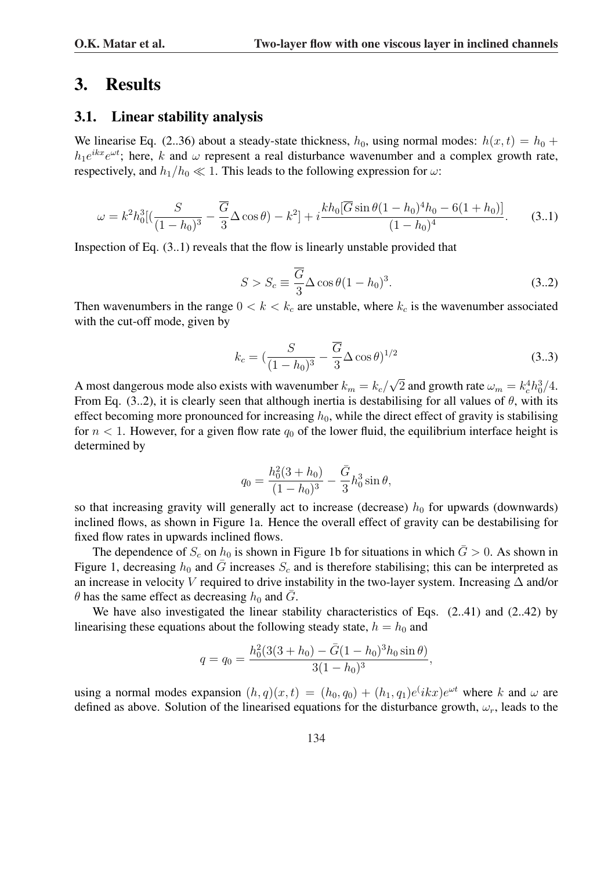### 3. Results

#### 3.1. Linear stability analysis

We linearise Eq. (2..36) about a steady-state thickness,  $h_0$ , using normal modes:  $h(x, t) = h_0 +$  $h_1e^{ikx}e^{\omega t}$ ; here, k and  $\omega$  represent a real disturbance wavenumber and a complex growth rate, respectively, and  $h_1/h_0 \ll 1$ . This leads to the following expression for  $\omega$ :

$$
\omega = k^2 h_0^3 \left[ \left( \frac{S}{(1 - h_0)^3} - \frac{\overline{G}}{3} \Delta \cos \theta \right) - k^2 \right] + i \frac{k h_0 [\overline{G} \sin \theta (1 - h_0)^4 h_0 - 6(1 + h_0)]}{(1 - h_0)^4}.
$$
 (3.1)

Inspection of Eq. (3..1) reveals that the flow is linearly unstable provided that

$$
S > S_c \equiv \frac{\overline{G}}{3} \Delta \cos \theta (1 - h_0)^3. \tag{3.2}
$$

Then wavenumbers in the range  $0 < k < k<sub>c</sub>$  are unstable, where  $k<sub>c</sub>$  is the wavenumber associated with the cut-off mode, given by

$$
k_c = \left(\frac{S}{(1-h_0)^3} - \frac{\overline{G}}{3} \Delta \cos \theta\right)^{1/2}
$$
\n(3.3)

A most dangerous mode also exists with wavenumber  $k_m = k_c /$ √  $\overline{2}$  and growth rate  $\omega_m = k_c^4 h_0^3 / 4$ . From Eq. (3..2), it is clearly seen that although inertia is destabilising for all values of  $\theta$ , with its effect becoming more pronounced for increasing  $h_0$ , while the direct effect of gravity is stabilising for  $n < 1$ . However, for a given flow rate  $q_0$  of the lower fluid, the equilibrium interface height is determined by

$$
q_0 = \frac{h_0^2(3+h_0)}{(1-h_0)^3} - \frac{\bar{G}}{3}h_0^3\sin\theta,
$$

so that increasing gravity will generally act to increase (decrease)  $h_0$  for upwards (downwards) inclined flows, as shown in Figure 1a. Hence the overall effect of gravity can be destabilising for fixed flow rates in upwards inclined flows.

The dependence of  $S_c$  on  $h_0$  is shown in Figure 1b for situations in which  $\bar{G} > 0$ . As shown in Figure 1, decreasing  $h_0$  and  $\bar{G}$  increases  $S_c$  and is therefore stabilising; this can be interpreted as an increase in velocity V required to drive instability in the two-layer system. Increasing ∆ and/or  $\theta$  has the same effect as decreasing  $h_0$  and  $\overline{G}$ .

We have also investigated the linear stability characteristics of Eqs.  $(2..41)$  and  $(2..42)$  by linearising these equations about the following steady state,  $h = h_0$  and

$$
q = q_0 = \frac{h_0^2 (3(3+h_0) - \bar{G}(1-h_0)^3 h_0 \sin \theta)}{3(1-h_0)^3},
$$

using a normal modes expansion  $(h, q)(x, t) = (h_0, q_0) + (h_1, q_1)e^{i\lambda x}e^{\omega t}$  where k and  $\omega$  are defined as above. Solution of the linearised equations for the disturbance growth,  $\omega_r$ , leads to the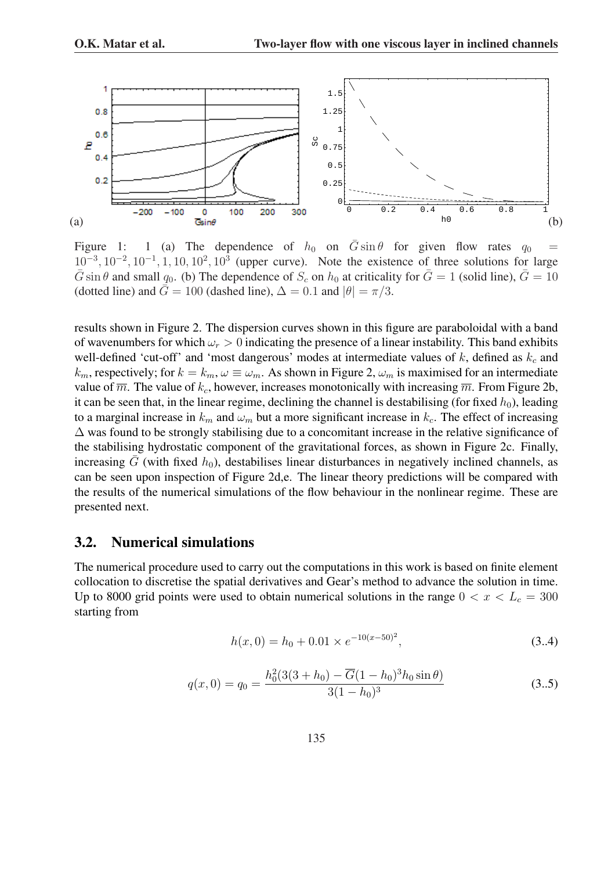

Figure 1: 1 (a) The dependence of  $h_0$  on  $\overline{G} \sin \theta$  for given flow rates  $q_0$  =  $10^{-3}$ ,  $10^{-2}$ ,  $10^{-1}$ ,  $1$ ,  $10$ ,  $10^{2}$ ,  $10^{3}$  (upper curve). Note the existence of three solutions for large  $\overline{G}$  sin  $\theta$  and small  $q_0$ . (b) The dependence of  $S_c$  on  $h_0$  at criticality for  $\overline{G} = 1$  (solid line),  $\overline{G} = 10$ (dotted line) and  $\bar{G} = 100$  (dashed line),  $\Delta = 0.1$  and  $|\theta| = \pi/3$ .

results shown in Figure 2. The dispersion curves shown in this figure are paraboloidal with a band of wavenumbers for which  $\omega_r > 0$  indicating the presence of a linear instability. This band exhibits well-defined 'cut-off' and 'most dangerous' modes at intermediate values of  $k$ , defined as  $k_c$  and  $k_m$ , respectively; for  $k = k_m$ ,  $\omega \equiv \omega_m$ . As shown in Figure 2,  $\omega_m$  is maximised for an intermediate value of  $\overline{m}$ . The value of  $k_c$ , however, increases monotonically with increasing  $\overline{m}$ . From Figure 2b, it can be seen that, in the linear regime, declining the channel is destabilising (for fixed  $h_0$ ), leading to a marginal increase in  $k_m$  and  $\omega_m$  but a more significant increase in  $k_c$ . The effect of increasing ∆ was found to be strongly stabilising due to a concomitant increase in the relative significance of the stabilising hydrostatic component of the gravitational forces, as shown in Figure 2c. Finally, increasing  $\bar{G}$  (with fixed  $h_0$ ), destabilises linear disturbances in negatively inclined channels, as can be seen upon inspection of Figure 2d,e. The linear theory predictions will be compared with the results of the numerical simulations of the flow behaviour in the nonlinear regime. These are presented next.

#### 3.2. Numerical simulations

The numerical procedure used to carry out the computations in this work is based on finite element collocation to discretise the spatial derivatives and Gear's method to advance the solution in time. Up to 8000 grid points were used to obtain numerical solutions in the range  $0 < x < L<sub>c</sub> = 300$ starting from

$$
h(x,0) = h_0 + 0.01 \times e^{-10(x-50)^2},
$$
\n(3.4)

$$
q(x,0) = q_0 = \frac{h_0^2 (3(3+h_0) - \overline{G}(1-h_0)^3 h_0 \sin \theta)}{3(1-h_0)^3}
$$
(3.5)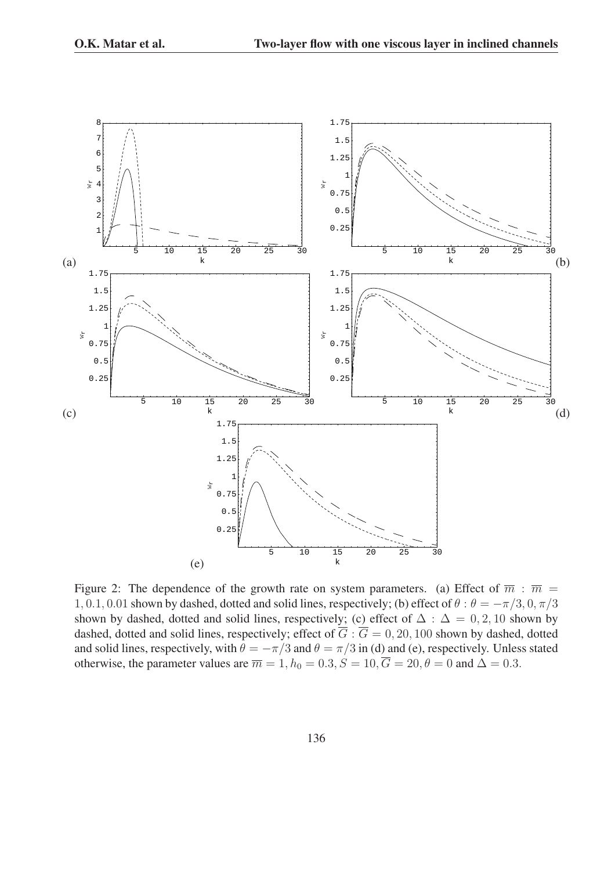

Figure 2: The dependence of the growth rate on system parameters. (a) Effect of  $\overline{m}$ :  $\overline{m}$  = 1, 0.1, 0.01 shown by dashed, dotted and solid lines, respectively; (b) effect of  $\theta$  :  $\theta = -\pi/3$ , 0,  $\pi/3$ shown by dashed, dotted and solid lines, respectively; (c) effect of  $\Delta$  :  $\Delta$  = 0, 2, 10 shown by dashed, dotted and solid lines, respectively; effect of  $\overline{G}$  :  $\overline{G}$  = 0, 20, 100 shown by dashed, dotted and solid lines, respectively, with  $\theta = -\pi/3$  and  $\theta = \pi/3$  in (d) and (e), respectively. Unless stated otherwise, the parameter values are  $\overline{m} = 1$ ,  $h_0 = 0.3$ ,  $S = 10$ ,  $\overline{G} = 20$ ,  $\theta = 0$  and  $\Delta = 0.3$ .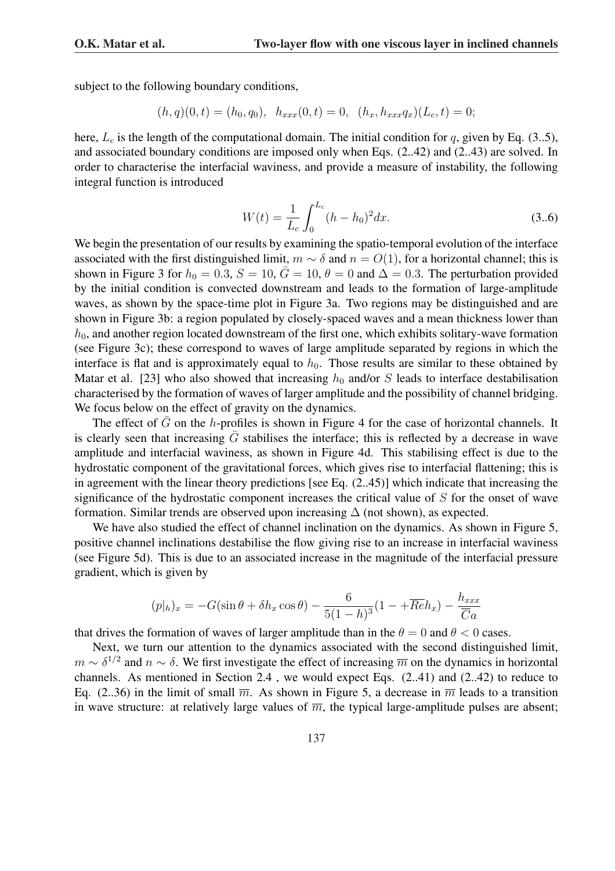subject to the following boundary conditions,

$$
(h,q)(0,t) = (h_0, q_0), \quad h_{xxx}(0,t) = 0, \quad (h_x, h_{xxx}q_x)(L_c, t) = 0;
$$

here,  $L_c$  is the length of the computational domain. The initial condition for q, given by Eq. (3..5), and associated boundary conditions are imposed only when Eqs. (2..42) and (2..43) are solved. In order to characterise the interfacial waviness, and provide a measure of instability, the following integral function is introduced

$$
W(t) = \frac{1}{L_c} \int_0^{L_c} (h - h_0)^2 dx.
$$
 (3.6)

We begin the presentation of our results by examining the spatio-temporal evolution of the interface associated with the first distinguished limit,  $m \sim \delta$  and  $n = O(1)$ , for a horizontal channel; this is shown in Figure 3 for  $h_0 = 0.3$ ,  $S = 10$ ,  $\bar{G} = 10$ ,  $\theta = 0$  and  $\Delta = 0.3$ . The perturbation provided by the initial condition is convected downstream and leads to the formation of large-amplitude waves, as shown by the space-time plot in Figure 3a. Two regions may be distinguished and are shown in Figure 3b: a region populated by closely-spaced waves and a mean thickness lower than  $h_0$ , and another region located downstream of the first one, which exhibits solitary-wave formation (see Figure 3c); these correspond to waves of large amplitude separated by regions in which the interface is flat and is approximately equal to  $h_0$ . Those results are similar to these obtained by Matar et al. [23] who also showed that increasing  $h_0$  and/or S leads to interface destabilisation characterised by the formation of waves of larger amplitude and the possibility of channel bridging. We focus below on the effect of gravity on the dynamics.

The effect of  $\bar{G}$  on the h-profiles is shown in Figure 4 for the case of horizontal channels. It is clearly seen that increasing  $G$  stabilises the interface; this is reflected by a decrease in wave amplitude and interfacial waviness, as shown in Figure 4d. This stabilising effect is due to the hydrostatic component of the gravitational forces, which gives rise to interfacial flattening; this is in agreement with the linear theory predictions [see Eq. (2..45)] which indicate that increasing the significance of the hydrostatic component increases the critical value of S for the onset of wave formation. Similar trends are observed upon increasing  $\Delta$  (not shown), as expected.

We have also studied the effect of channel inclination on the dynamics. As shown in Figure 5, positive channel inclinations destabilise the flow giving rise to an increase in interfacial waviness (see Figure 5d). This is due to an associated increase in the magnitude of the interfacial pressure gradient, which is given by

$$
(p|h)_x = -G(\sin\theta + \delta h_x \cos\theta) - \frac{6}{5(1-h)^3}(1 - +\overline{Re}h_x) - \frac{h_{xxx}}{\overline{Ca}}
$$

that drives the formation of waves of larger amplitude than in the  $\theta = 0$  and  $\theta < 0$  cases.

Next, we turn our attention to the dynamics associated with the second distinguished limit,  $m \sim \delta^{1/2}$  and  $n \sim \delta$ . We first investigate the effect of increasing  $\overline{m}$  on the dynamics in horizontal channels. As mentioned in Section 2.4 , we would expect Eqs. (2..41) and (2..42) to reduce to Eq. (2..36) in the limit of small  $\overline{m}$ . As shown in Figure 5, a decrease in  $\overline{m}$  leads to a transition in wave structure: at relatively large values of  $\overline{m}$ , the typical large-amplitude pulses are absent;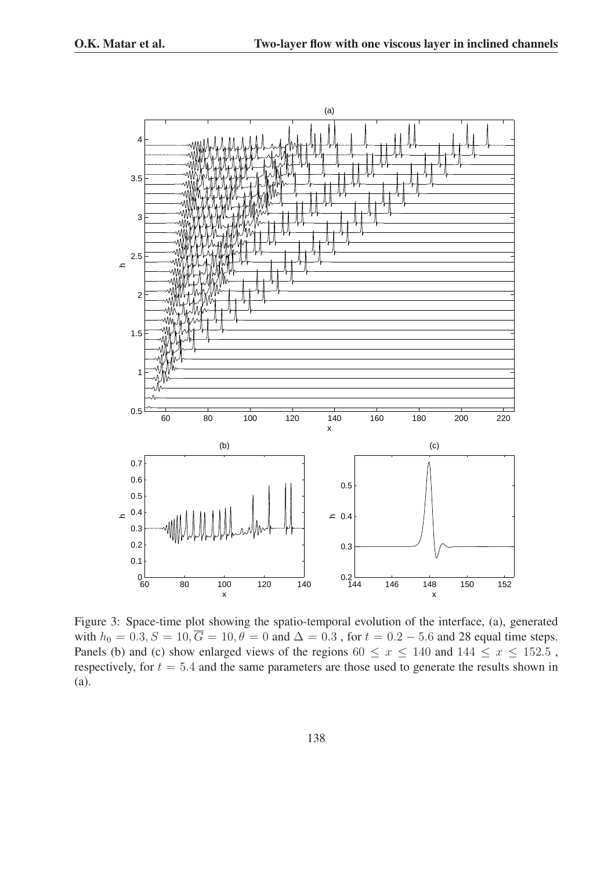

Figure 3: Space-time plot showing the spatio-temporal evolution of the interface, (a), generated with  $h_0 = 0.3, S = 10, \overline{G} = 10, \theta = 0$  and  $\Delta = 0.3$ , for  $t = 0.2 - 5.6$  and 28 equal time steps. Panels (b) and (c) show enlarged views of the regions  $60 \le x \le 140$  and  $144 \le x \le 152.5$ , respectively, for  $t = 5.4$  and the same parameters are those used to generate the results shown in (a).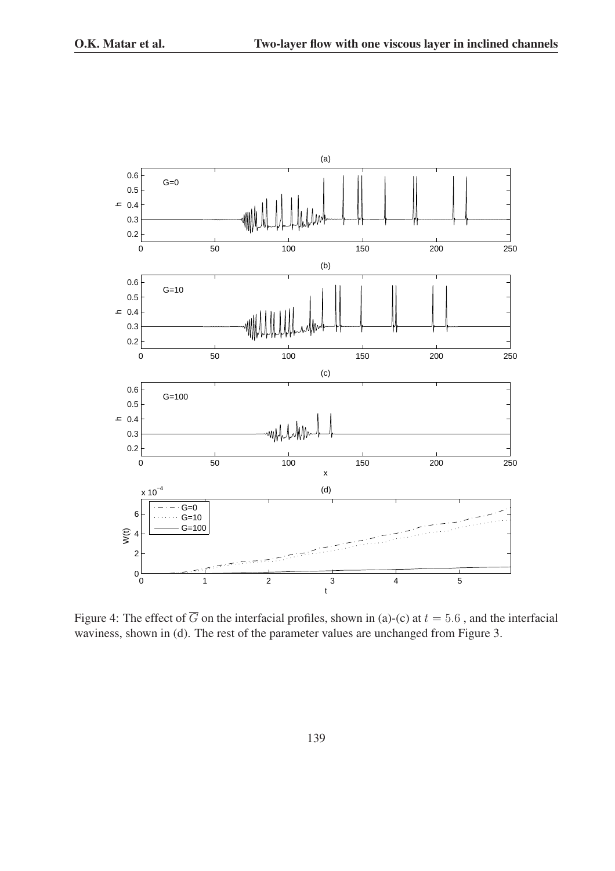

Figure 4: The effect of  $\overline{G}$  on the interfacial profiles, shown in (a)-(c) at  $t = 5.6$ , and the interfacial waviness, shown in (d). The rest of the parameter values are unchanged from Figure 3.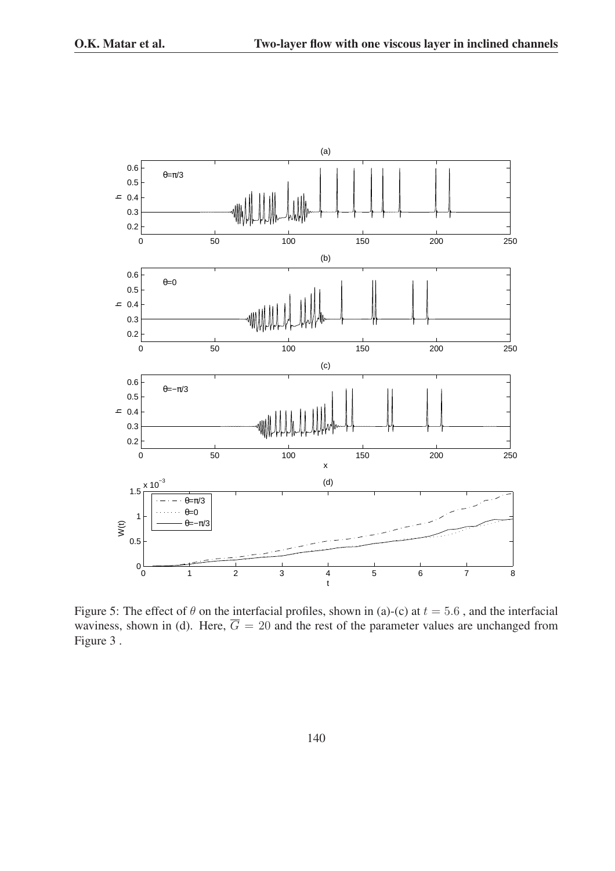

Figure 5: The effect of  $\theta$  on the interfacial profiles, shown in (a)-(c) at  $t = 5.6$ , and the interfacial waviness, shown in (d). Here,  $\overline{G} = 20$  and the rest of the parameter values are unchanged from Figure 3 .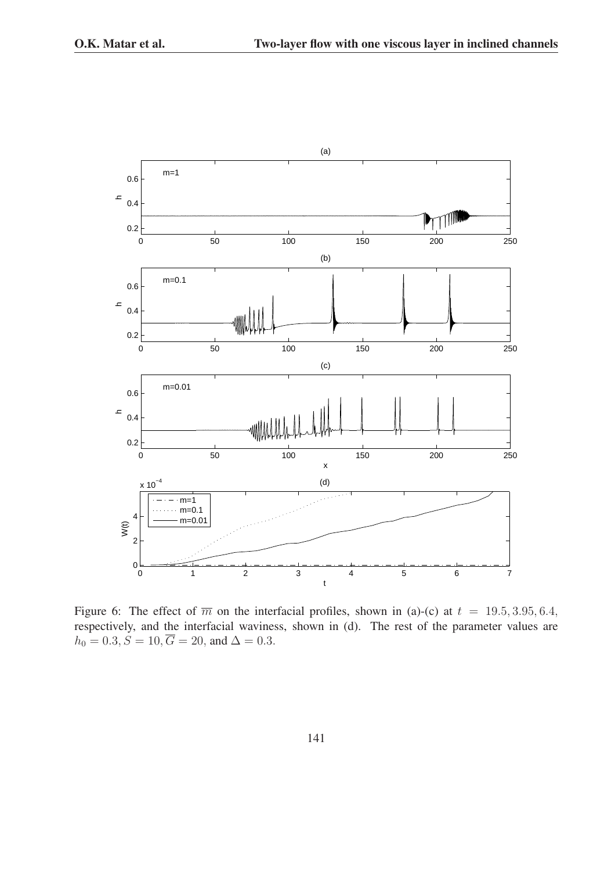

Figure 6: The effect of  $\overline{m}$  on the interfacial profiles, shown in (a)-(c) at  $t = 19.5, 3.95, 6.4$ , respectively, and the interfacial waviness, shown in (d). The rest of the parameter values are  $h_0 = 0.3, S = 10, \overline{G} = 20, \text{ and } \Delta = 0.3.$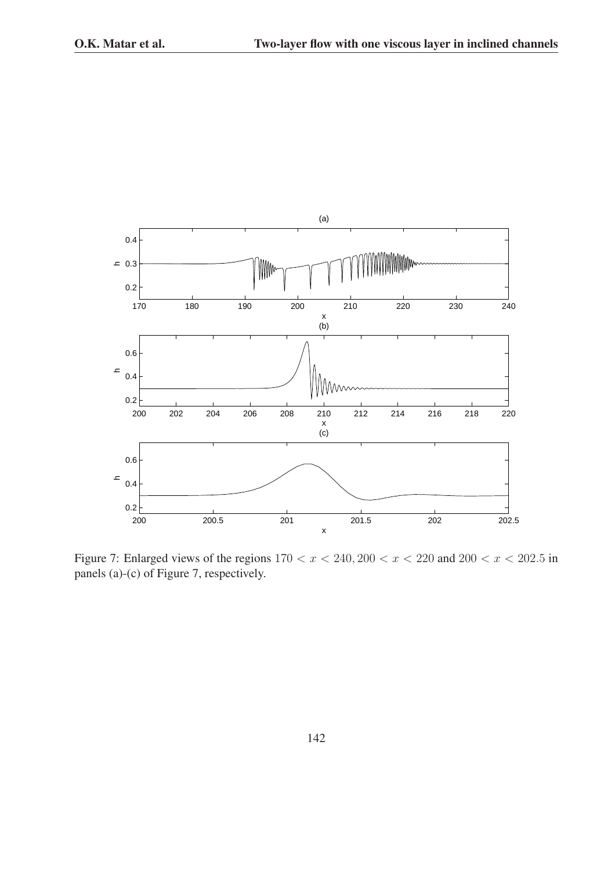

Figure 7: Enlarged views of the regions  $170 < x < 240, 200 < x < 220$  and  $200 < x < 202.5$  in panels (a)-(c) of Figure 7, respectively.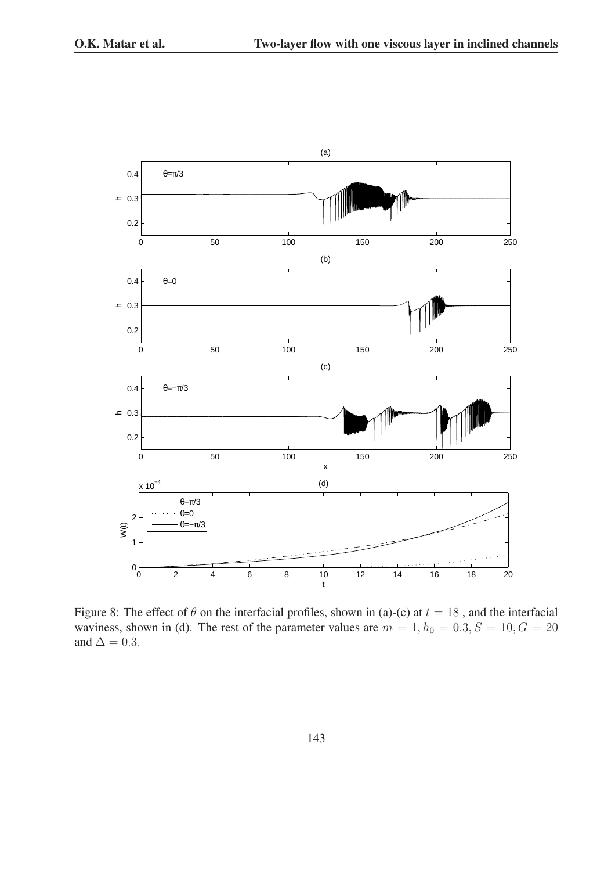

Figure 8: The effect of  $\theta$  on the interfacial profiles, shown in (a)-(c) at  $t = 18$ , and the interfacial waviness, shown in (d). The rest of the parameter values are  $\overline{m} = 1, h_0 = 0.3, S = 10, \overline{G} = 20$ and  $\Delta = 0.3$ .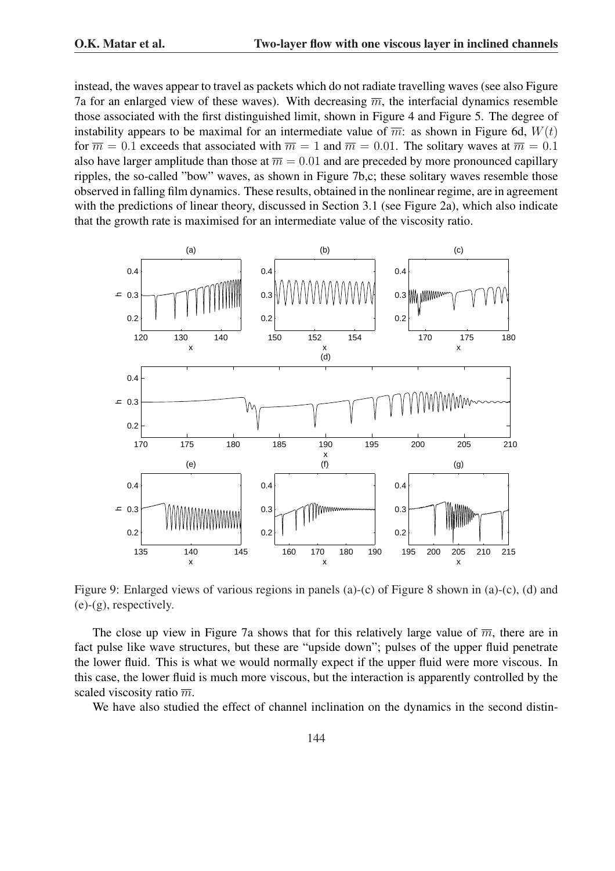instead, the waves appear to travel as packets which do not radiate travelling waves (see also Figure 7a for an enlarged view of these waves). With decreasing  $\overline{m}$ , the interfacial dynamics resemble those associated with the first distinguished limit, shown in Figure 4 and Figure 5. The degree of instability appears to be maximal for an intermediate value of  $\overline{m}$ : as shown in Figure 6d,  $W(t)$ for  $\overline{m} = 0.1$  exceeds that associated with  $\overline{m} = 1$  and  $\overline{m} = 0.01$ . The solitary waves at  $\overline{m} = 0.1$ also have larger amplitude than those at  $\overline{m} = 0.01$  and are preceded by more pronounced capillary ripples, the so-called "bow" waves, as shown in Figure 7b,c; these solitary waves resemble those observed in falling film dynamics. These results, obtained in the nonlinear regime, are in agreement with the predictions of linear theory, discussed in Section 3.1 (see Figure 2a), which also indicate that the growth rate is maximised for an intermediate value of the viscosity ratio.



Figure 9: Enlarged views of various regions in panels (a)-(c) of Figure 8 shown in (a)-(c), (d) and (e)-(g), respectively.

The close up view in Figure 7a shows that for this relatively large value of  $\overline{m}$ , there are in fact pulse like wave structures, but these are "upside down"; pulses of the upper fluid penetrate the lower fluid. This is what we would normally expect if the upper fluid were more viscous. In this case, the lower fluid is much more viscous, but the interaction is apparently controlled by the scaled viscosity ratio  $\overline{m}$ .

We have also studied the effect of channel inclination on the dynamics in the second distin-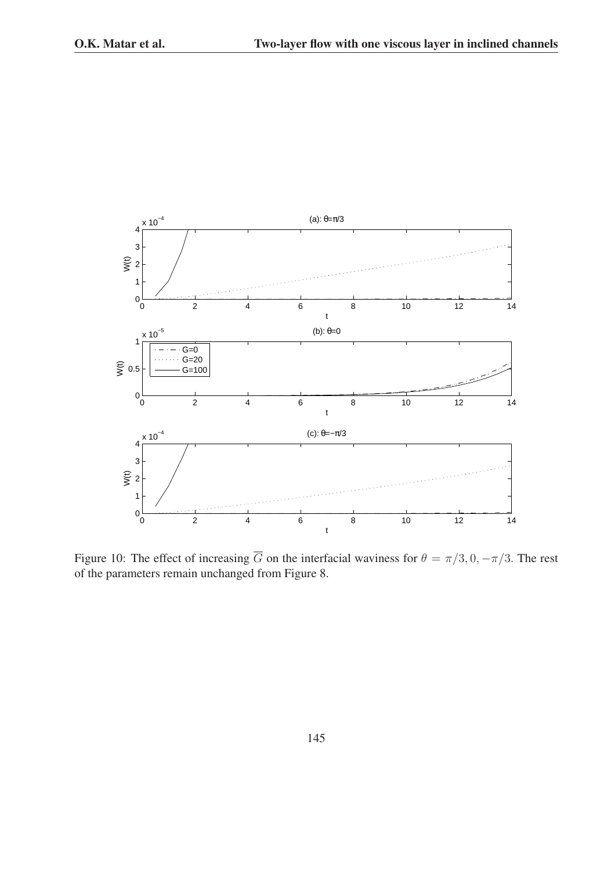

Figure 10: The effect of increasing  $\overline{G}$  on the interfacial waviness for  $\theta = \pi/3, 0, -\pi/3$ . The rest of the parameters remain unchanged from Figure 8.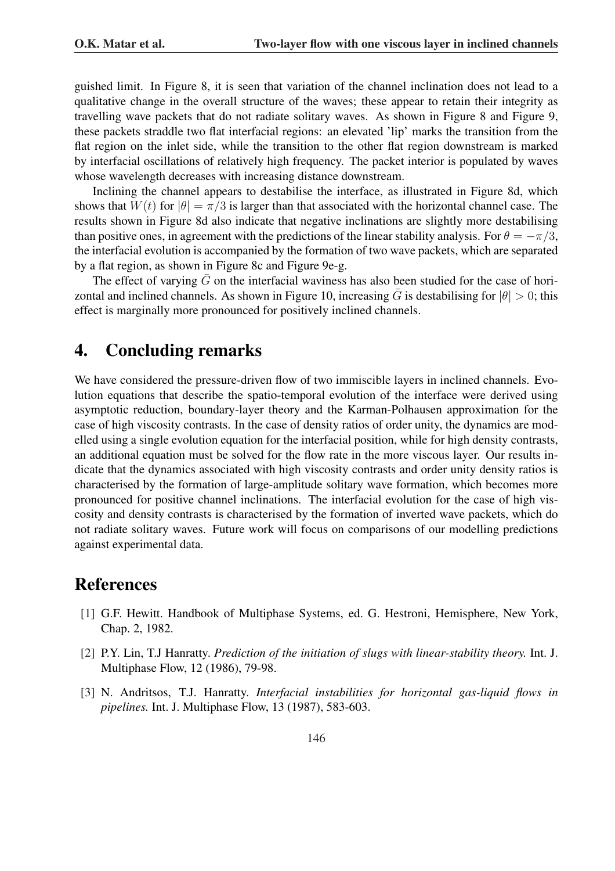guished limit. In Figure 8, it is seen that variation of the channel inclination does not lead to a qualitative change in the overall structure of the waves; these appear to retain their integrity as travelling wave packets that do not radiate solitary waves. As shown in Figure 8 and Figure 9, these packets straddle two flat interfacial regions: an elevated 'lip' marks the transition from the flat region on the inlet side, while the transition to the other flat region downstream is marked by interfacial oscillations of relatively high frequency. The packet interior is populated by waves whose wavelength decreases with increasing distance downstream.

Inclining the channel appears to destabilise the interface, as illustrated in Figure 8d, which shows that  $W(t)$  for  $|\theta| = \pi/3$  is larger than that associated with the horizontal channel case. The results shown in Figure 8d also indicate that negative inclinations are slightly more destabilising than positive ones, in agreement with the predictions of the linear stability analysis. For  $\theta = -\pi/3$ , the interfacial evolution is accompanied by the formation of two wave packets, which are separated by a flat region, as shown in Figure 8c and Figure 9e-g.

The effect of varying  $\bar{G}$  on the interfacial waviness has also been studied for the case of horizontal and inclined channels. As shown in Figure 10, increasing  $\bar{G}$  is destabilising for  $|\theta| > 0$ ; this effect is marginally more pronounced for positively inclined channels.

# 4. Concluding remarks

We have considered the pressure-driven flow of two immiscible layers in inclined channels. Evolution equations that describe the spatio-temporal evolution of the interface were derived using asymptotic reduction, boundary-layer theory and the Karman-Polhausen approximation for the case of high viscosity contrasts. In the case of density ratios of order unity, the dynamics are modelled using a single evolution equation for the interfacial position, while for high density contrasts, an additional equation must be solved for the flow rate in the more viscous layer. Our results indicate that the dynamics associated with high viscosity contrasts and order unity density ratios is characterised by the formation of large-amplitude solitary wave formation, which becomes more pronounced for positive channel inclinations. The interfacial evolution for the case of high viscosity and density contrasts is characterised by the formation of inverted wave packets, which do not radiate solitary waves. Future work will focus on comparisons of our modelling predictions against experimental data.

# References

- [1] G.F. Hewitt. Handbook of Multiphase Systems, ed. G. Hestroni, Hemisphere, New York, Chap. 2, 1982.
- [2] P.Y. Lin, T.J Hanratty. *Prediction of the initiation of slugs with linear-stability theory.* Int. J. Multiphase Flow, 12 (1986), 79-98.
- [3] N. Andritsos, T.J. Hanratty. *Interfacial instabilities for horizontal gas-liquid flows in pipelines.* Int. J. Multiphase Flow, 13 (1987), 583-603.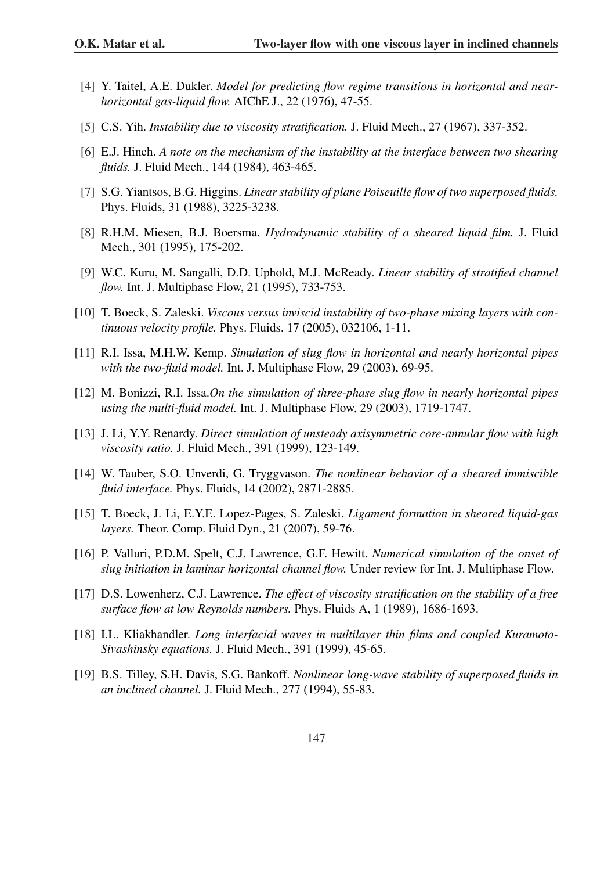- [4] Y. Taitel, A.E. Dukler. *Model for predicting flow regime transitions in horizontal and nearhorizontal gas-liquid flow.* AIChE J., 22 (1976), 47-55.
- [5] C.S. Yih. *Instability due to viscosity stratification.* J. Fluid Mech., 27 (1967), 337-352.
- [6] E.J. Hinch. *A note on the mechanism of the instability at the interface between two shearing fluids.* J. Fluid Mech., 144 (1984), 463-465.
- [7] S.G. Yiantsos, B.G. Higgins. *Linear stability of plane Poiseuille flow of two superposed fluids.* Phys. Fluids, 31 (1988), 3225-3238.
- [8] R.H.M. Miesen, B.J. Boersma. *Hydrodynamic stability of a sheared liquid film.* J. Fluid Mech., 301 (1995), 175-202.
- [9] W.C. Kuru, M. Sangalli, D.D. Uphold, M.J. McReady. *Linear stability of stratified channel flow.* Int. J. Multiphase Flow, 21 (1995), 733-753.
- [10] T. Boeck, S. Zaleski. *Viscous versus inviscid instability of two-phase mixing layers with continuous velocity profile.* Phys. Fluids. 17 (2005), 032106, 1-11.
- [11] R.I. Issa, M.H.W. Kemp. *Simulation of slug flow in horizontal and nearly horizontal pipes with the two-fluid model.* Int. J. Multiphase Flow, 29 (2003), 69-95.
- [12] M. Bonizzi, R.I. Issa.*On the simulation of three-phase slug flow in nearly horizontal pipes using the multi-fluid model.* Int. J. Multiphase Flow, 29 (2003), 1719-1747.
- [13] J. Li, Y.Y. Renardy. *Direct simulation of unsteady axisymmetric core-annular flow with high viscosity ratio.* J. Fluid Mech., 391 (1999), 123-149.
- [14] W. Tauber, S.O. Unverdi, G. Tryggvason. *The nonlinear behavior of a sheared immiscible fluid interface.* Phys. Fluids, 14 (2002), 2871-2885.
- [15] T. Boeck, J. Li, E.Y.E. Lopez-Pages, S. Zaleski. *Ligament formation in sheared liquid-gas layers.* Theor. Comp. Fluid Dyn., 21 (2007), 59-76.
- [16] P. Valluri, P.D.M. Spelt, C.J. Lawrence, G.F. Hewitt. *Numerical simulation of the onset of slug initiation in laminar horizontal channel flow.* Under review for Int. J. Multiphase Flow.
- [17] D.S. Lowenherz, C.J. Lawrence. *The effect of viscosity stratification on the stability of a free surface flow at low Reynolds numbers.* Phys. Fluids A, 1 (1989), 1686-1693.
- [18] I.L. Kliakhandler. *Long interfacial waves in multilayer thin films and coupled Kuramoto-Sivashinsky equations.* J. Fluid Mech., 391 (1999), 45-65.
- [19] B.S. Tilley, S.H. Davis, S.G. Bankoff. *Nonlinear long-wave stability of superposed fluids in an inclined channel.* J. Fluid Mech., 277 (1994), 55-83.